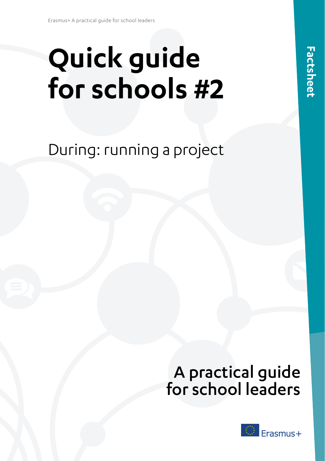# **Quick guide for schools #2**

During: running a project

# A practical guide for school leaders

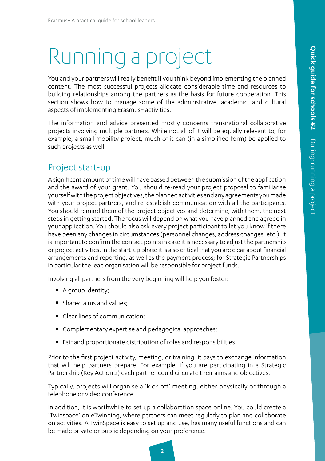# Running a project

You and your partners will really benefit if you think beyond implementing the planned content. The most successful projects allocate considerable time and resources to building relationships among the partners as the basis for future cooperation. This section shows how to manage some of the administrative, academic, and cultural aspects of implementing Erasmus+ activities.

The information and advice presented mostly concerns transnational collaborative projects involving multiple partners. While not all of it will be equally relevant to, for example, a small mobility project, much of it can (in a simplified form) be applied to such projects as well.

### Project start-up

A significant amount of time will have passed between the submission of the application and the award of your grant. You should re-read your project proposal to familiarise yourself with the project objectives, the planned activities and any agreements you made with your project partners, and re-establish communication with all the participants. You should remind them of the project objectives and determine, with them, the next steps in getting started. The focus will depend on what you have planned and agreed in your application. You should also ask every project participant to let you know if there have been any changes in circumstances (personnel changes, address changes, etc.). It is important to confirm the contact points in case it is necessary to adjust the partnership or project activities. In the start-up phase it is also critical that you are clear about financial arrangements and reporting, as well as the payment process; for Strategic Partnerships in particular the lead organisation will be responsible for project funds.

Involving all partners from the very beginning will help you foster:

- A group identity;
- **Shared aims and values:**
- Clear lines of communication;
- **Complementary expertise and pedagogical approaches;**
- Fair and proportionate distribution of roles and responsibilities.

Prior to the first project activity, meeting, or training, it pays to exchange information that will help partners prepare. For example, if you are participating in a Strategic Partnership (Key Action 2) each partner could circulate their aims and objectives.

Typically, projects will organise a 'kick off' meeting, either physically or through a telephone or video conference.

In addition, it is worthwhile to set up a collaboration space online. You could create a 'Twinspace' on eTwinning, where partners can meet regularly to plan and collaborate on activities. A TwinSpace is easy to set up and use, has many useful functions and can be made private or public depending on your preference.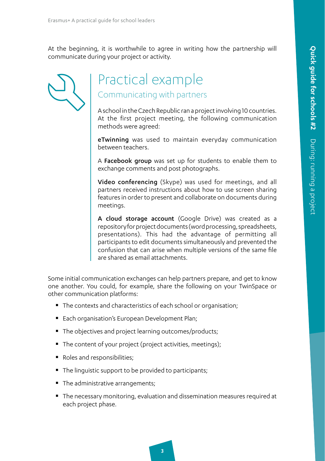At the beginning, it is worthwhile to agree in writing how the partnership will communicate during your project or activity.

# Practical example Communicating with partners

A school in the Czech Republic ran a project involving 10 countries. At the first project meeting, the following communication methods were agreed:

**eTwinning** was used to maintain everyday communication between teachers.

A Facebook group was set up for students to enable them to exchange comments and post photographs.

Video conferencing (Skype) was used for meetings, and all partners received instructions about how to use screen sharing features in order to present and collaborate on documents during meetings.

A cloud storage account (Google Drive) was created as a repository for project documents (word processing, spreadsheets, presentations). This had the advantage of permitting all participants to edit documents simultaneously and prevented the confusion that can arise when multiple versions of the same file are shared as email attachments.

Some initial communication exchanges can help partners prepare, and get to know one another. You could, for example, share the following on your TwinSpace or other communication platforms:

- The contexts and characteristics of each school or organisation;
- **Each organisation's European Development Plan;**
- The objectives and project learning outcomes/products;
- The content of your project (project activities, meetings);
- Roles and responsibilities;
- The linguistic support to be provided to participants;
- The administrative arrangements;
- The necessary monitoring, evaluation and dissemination measures required at each project phase.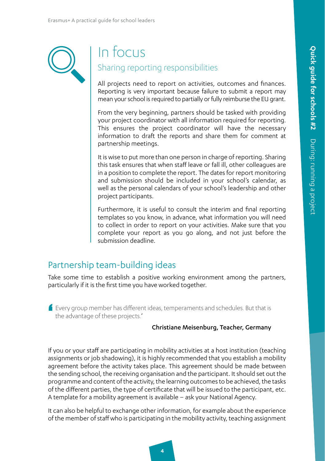

# In focus Sharing reporting responsibilities

All projects need to report on activities, outcomes and finances. Reporting is very important because failure to submit a report may mean your school is required to partially or fully reimburse the EU grant.

From the very beginning, partners should be tasked with providing your project coordinator with all information required for reporting. This ensures the project coordinator will have the necessary information to draft the reports and share them for comment at partnership meetings.

It is wise to put more than one person in charge of reporting. Sharing this task ensures that when staff leave or fall ill, other colleagues are in a position to complete the report. The dates for report monitoring and submission should be included in your school's calendar, as well as the personal calendars of your school's leadership and other project participants.

Furthermore, it is useful to consult the interim and final reporting templates so you know, in advance, what information you will need to collect in order to report on your activities. Make sure that you complete your report as you go along, and not just before the submission deadline.

## Partnership team-building ideas

Take some time to establish a positive working environment among the partners, particularly if it is the first time you have worked together.

' Every group member has different ideas, temperaments and schedules. But that is the advantage of these projects.'

#### Christiane Meisenburg, Teacher, Germany

If you or your staff are participating in mobility activities at a host institution (teaching assignments or job shadowing), it is highly recommended that you establish a mobility agreement before the activity takes place. This agreement should be made between the sending school, the receiving organisation and the participant. It should set out the programme and content of the activity, the learning outcomes to be achieved, the tasks of the different parties, the type of certificate that will be issued to the participant, etc. A template for a mobility agreement is available – ask your National Agency.

It can also be helpful to exchange other information, for example about the experience of the member of staff who is participating in the mobility activity, teaching assignment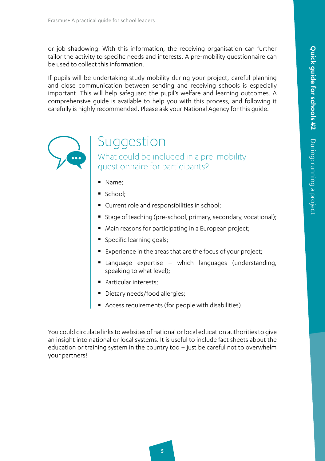or job shadowing. With this information, the receiving organisation can further tailor the activity to specific needs and interests. A pre-mobility questionnaire can be used to collect this information.

If pupils will be undertaking study mobility during your project, careful planning and close communication between sending and receiving schools is especially important. This will help safeguard the pupil's welfare and learning outcomes. A comprehensive guide is available to help you with this process, and following it carefully is highly recommended. Please ask your National Agency for this guide.



# Suggestion

What could be included in a pre-mobility questionnaire for participants?

- Name;
- School;
- Current role and responsibilities in school;
- Stage of teaching (pre-school, primary, secondary, vocational);
- Main reasons for participating in a European project;
- **Specific learning goals;**
- Experience in the areas that are the focus of your project;
- Language expertise which languages (understanding, speaking to what level);
- **Particular interests:**
- **Dietary needs/food allergies;**
- Access requirements (for people with disabilities).

You could circulate links to websites of national or local education authorities to give an insight into national or local systems. It is useful to include fact sheets about the education or training system in the country too – just be careful not to overwhelm your partners!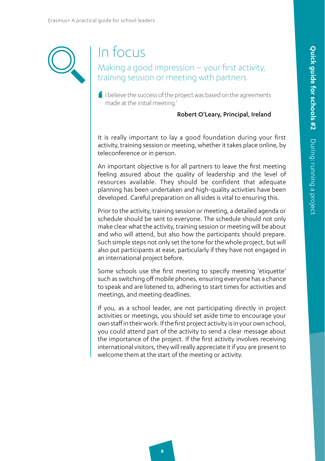# In focus

Making a good impression – your first activity, training session or meeting with partners

'  $\blacksquare$  I believe the success of the project was based on the agreements made at the initial meeting.'

#### Robert O'Leary, Principal, Ireland

It is really important to lay a good foundation during your first activity, training session or meeting, whether it takes place online, by teleconference or in person.

An important objective is for all partners to leave the first meeting feeling assured about the quality of leadership and the level of resources available. They should be confident that adequate planning has been undertaken and high-quality activities have been developed. Careful preparation on all sides is vital to ensuring this.

Prior to the activity, training session or meeting, a detailed agenda or schedule should be sent to everyone. The schedule should not only make clear what the activity, training session or meeting will be about and who will attend, but also how the participants should prepare. Such simple steps not only set the tone for the whole project, but will also put participants at ease, particularly if they have not engaged in an international project before.

Some schools use the first meeting to specify meeting 'etiquette' such as switching off mobile phones, ensuring everyone has a chance to speak and are listened to, adhering to start times for activities and meetings, and meeting deadlines.

If you, as a school leader, are not participating directly in project activities or meetings, you should set aside time to encourage your own staff in their work. If the first project activity is in your own school, you could attend part of the activity to send a clear message about the importance of the project. If the first activity involves receiving international visitors, they will really appreciate it if you are present to welcome them at the start of the meeting or activity.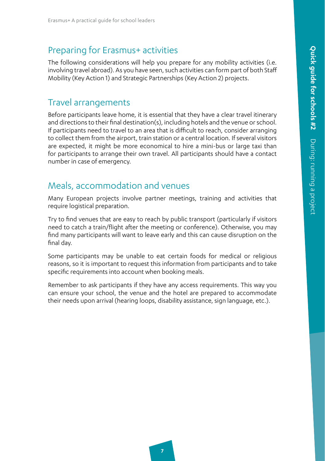# 2.2.3 Preparing for Erasmus+ activities

The following considerations will help you prepare for any mobility activities (i.e. involving travel abroad). As you have seen, such activities can form part of both Staff Mobility (Key Action 1) and Strategic Partnerships (Key Action 2) projects.

### 2.2.3.1 Travel arrangements

Before participants leave home, it is essential that they have a clear travel itinerary and directions to their final destination(s), including hotels and the venue or school. If participants need to travel to an area that is difficult to reach, consider arranging to collect them from the airport, train station or a central location. If several visitors are expected, it might be more economical to hire a mini-bus or large taxi than for participants to arrange their own travel. All participants should have a contact number in case of emergency.

## 2.2.3.2 Meals, accommodation and venues

Many European projects involve partner meetings, training and activities that require logistical preparation.

Try to find venues that are easy to reach by public transport (particularly if visitors need to catch a train/flight after the meeting or conference). Otherwise, you may find many participants will want to leave early and this can cause disruption on the final day.

Some participants may be unable to eat certain foods for medical or religious reasons, so it is important to request this information from participants and to take specific requirements into account when booking meals.

Remember to ask participants if they have any access requirements. This way you can ensure your school, the venue and the hotel are prepared to accommodate their needs upon arrival (hearing loops, disability assistance, sign language, etc.).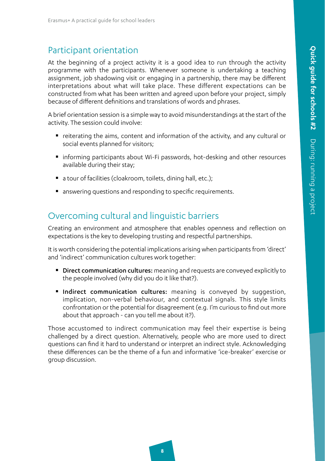### Participant orientation

At the beginning of a project activity it is a good idea to run through the activity programme with the participants. Whenever someone is undertaking a teaching assignment, job shadowing visit or engaging in a partnership, there may be different interpretations about what will take place. These different expectations can be constructed from what has been written and agreed upon before your project, simply because of different definitions and translations of words and phrases.

A brief orientation session is a simple way to avoid misunderstandings at the start of the activity. The session could involve:

- reiterating the aims, content and information of the activity, and any cultural or social events planned for visitors;
- informing participants about Wi-Fi passwords, hot-desking and other resources available during their stay;
- a tour of facilities (cloakroom, toilets, dining hall, etc.);
- **answering questions and responding to specific requirements.**

## Overcoming cultural and linguistic barriers

Creating an environment and atmosphere that enables openness and reflection on expectations is the key to developing trusting and respectful partnerships.

It is worth considering the potential implications arising when participants from 'direct' and 'indirect' communication cultures work together:

- **Direct communication cultures:** meaning and requests are conveyed explicitly to the people involved (why did you do it like that?).
- **Indirect communication cultures:** meaning is conveyed by suggestion, implication, non-verbal behaviour, and contextual signals. This style limits confrontation or the potential for disagreement (e.g. I'm curious to find out more about that approach - can you tell me about it?).

Those accustomed to indirect communication may feel their expertise is being challenged by a direct question. Alternatively, people who are more used to direct questions can find it hard to understand or interpret an indirect style. Acknowledging these differences can be the theme of a fun and informative 'ice-breaker' exercise or group discussion.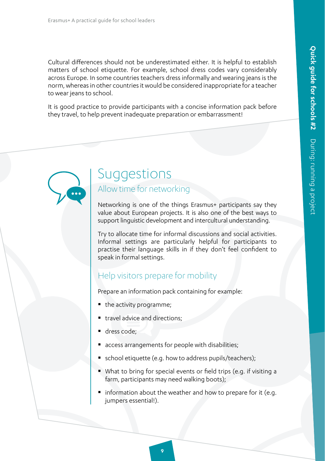Cultural differences should not be underestimated either. It is helpful to establish matters of school etiquette. For example, school dress codes vary considerably across Europe. In some countries teachers dress informally and wearing jeans is the norm, whereas in other countries it would be considered inappropriate for a teacher to wear jeans to school.

It is good practice to provide participants with a concise information pack before they travel, to help prevent inadequate preparation or embarrassment!

# Suggestions Allow time for networking

Networking is one of the things Erasmus+ participants say they value about European projects. It is also one of the best ways to support linguistic development and intercultural understanding.

Try to allocate time for informal discussions and social activities. Informal settings are particularly helpful for participants to practise their language skills in if they don't feel confident to speak in formal settings.

### Help visitors prepare for mobility

Prepare an information pack containing for example:

- the activity programme;
- travel advice and directions;
- dress code;
- access arrangements for people with disabilities;
- school etiquette (e.g. how to address pupils/teachers);
- What to bring for special events or field trips (e.g. if visiting a farm, participants may need walking boots);
- $\blacksquare$  information about the weather and how to prepare for it (e.g. jumpers essential!).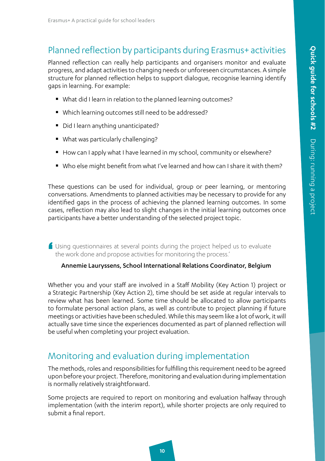## Planned reflection by participants during Erasmus+ activities

Planned reflection can really help participants and organisers monitor and evaluate progress, and adapt activities to changing needs or unforeseen circumstances. A simple structure for planned reflection helps to support dialogue, recognise learning identify gaps in learning. For example:

- What did I learn in relation to the planned learning outcomes?
- Which learning outcomes still need to be addressed?
- Did I learn anything unanticipated?
- What was particularly challenging?
- How can I apply what I have learned in my school, community or elsewhere?
- Who else might benefit from what I've learned and how can I share it with them?

These questions can be used for individual, group or peer learning, or mentoring conversations. Amendments to planned activities may be necessary to provide for any identified gaps in the process of achieving the planned learning outcomes. In some cases, reflection may also lead to slight changes in the initial learning outcomes once participants have a better understanding of the selected project topic.

' Using questionnaires at several points during the project helped us to evaluate the work done and propose activities for monitoring the process.'

#### Annemie Lauryssens, School International Relations Coordinator, Belgium

Whether you and your staff are involved in a Staff Mobility (Key Action 1) project or a Strategic Partnership (Key Action 2), time should be set aside at regular intervals to review what has been learned. Some time should be allocated to allow participants to formulate personal action plans, as well as contribute to project planning if future meetings or activities have been scheduled. While this may seem like a lot of work, it will actually save time since the experiences documented as part of planned reflection will be useful when completing your project evaluation.

## 2.2.4 Monitoring and evaluation during implementation

The methods, roles and responsibilities for fulfilling this requirement need to be agreed upon before your project. Therefore, monitoring and evaluation during implementation is normally relatively straightforward.

Some projects are required to report on monitoring and evaluation halfway through implementation (with the interim report), while shorter projects are only required to submit a final report.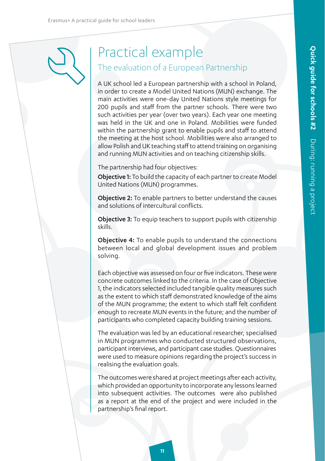# Practical example The evaluation of a European Partnership

A UK school led a European partnership with a school in Poland, in order to create a Model United Nations (MUN) exchange. The main activities were one-day United Nations style meetings for 200 pupils and staff from the partner schools. There were two such activities per year (over two years). Each year one meeting was held in the UK and one in Poland. Mobilities were funded within the partnership grant to enable pupils and staff to attend the meeting at the host school. Mobilities were also arranged to allow Polish and UK teaching staff to attend training on organising and running MUN activities and on teaching citizenship skills.

The partnership had four objectives:

Objective 1: To build the capacity of each partner to create Model United Nations (MUN) programmes.

Objective 2: To enable partners to better understand the causes and solutions of intercultural conflicts.

**Objective 3:** To equip teachers to support pupils with citizenship skills.

Objective 4: To enable pupils to understand the connections between local and global development issues and problem solving.

Each objective was assessed on four or five indicators. These were concrete outcomes linked to the criteria. In the case of Objective 1, the indicators selected included tangible quality measures such as the extent to which staff demonstrated knowledge of the aims of the MUN programme; the extent to which staff felt confident enough to recreate MUN events in the future; and the number of participants who completed capacity building training sessions.

The evaluation was led by an educational researcher, specialised in MUN programmes who conducted structured observations, participant interviews, and participant case studies. Questionnaires were used to measure opinions regarding the project's success in realising the evaluation goals.

The outcomes were shared at project meetings after each activity, which provided an opportunity to incorporate any lessons learned into subsequent activities. The outcomes were also published as a report at the end of the project and were included in the partnership's final report.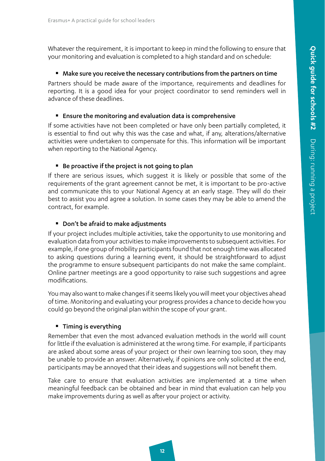Whatever the requirement, it is important to keep in mind the following to ensure that your monitoring and evaluation is completed to a high standard and on schedule:

#### Make sure you receive the necessary contributions from the partners on time

Partners should be made aware of the importance, requirements and deadlines for reporting. It is a good idea for your project coordinator to send reminders well in advance of these deadlines.

#### Ensure the monitoring and evaluation data is comprehensive

If some activities have not been completed or have only been partially completed, it is essential to find out why this was the case and what, if any, alterations/alternative activities were undertaken to compensate for this. This information will be important when reporting to the National Agency.

#### ■ Be proactive if the project is not going to plan

If there are serious issues, which suggest it is likely or possible that some of the requirements of the grant agreement cannot be met, it is important to be pro-active and communicate this to your National Agency at an early stage. They will do their best to assist you and agree a solution. In some cases they may be able to amend the contract, for example.

#### ■ Don't be afraid to make adjustments

If your project includes multiple activities, take the opportunity to use monitoring and evaluation data from your activities to make improvements to subsequent activities. For example, if one group of mobility participants found that not enough time was allocated to asking questions during a learning event, it should be straightforward to adjust the programme to ensure subsequent participants do not make the same complaint. Online partner meetings are a good opportunity to raise such suggestions and agree modifications.

You may also want to make changes if it seems likely you will meet your objectives ahead of time. Monitoring and evaluating your progress provides a chance to decide how you could go beyond the original plan within the scope of your grant.

#### **Timing is everything**

Remember that even the most advanced evaluation methods in the world will count for little if the evaluation is administered at the wrong time. For example, if participants are asked about some areas of your project or their own learning too soon, they may be unable to provide an answer. Alternatively, if opinions are only solicited at the end, participants may be annoyed that their ideas and suggestions will not benefit them.

Take care to ensure that evaluation activities are implemented at a time when meaningful feedback can be obtained and bear in mind that evaluation can help you make improvements during as well as after your project or activity.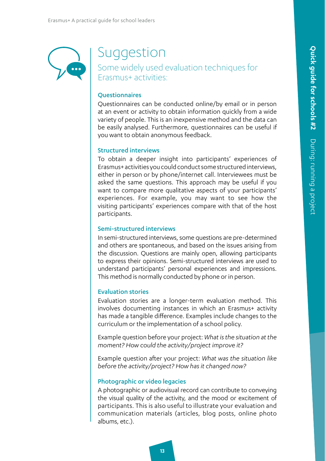# Suggestion

Some widely used evaluation techniques for Erasmus+ activities:

#### **Ouestionnaires**

Questionnaires can be conducted online/by email or in person at an event or activity to obtain information quickly from a wide variety of people. This is an inexpensive method and the data can be easily analysed. Furthermore, questionnaires can be useful if you want to obtain anonymous feedback.

#### Structured interviews

To obtain a deeper insight into participants' experiences of Erasmus+ activities you could conduct some structured interviews, either in person or by phone/internet call. Interviewees must be asked the same questions. This approach may be useful if you want to compare more qualitative aspects of your participants' experiences. For example, you may want to see how the visiting participants' experiences compare with that of the host participants.

#### Semi-structured interviews

In semi-structured interviews, some questions are pre-determined and others are spontaneous, and based on the issues arising from the discussion. Questions are mainly open, allowing participants to express their opinions. Semi-structured interviews are used to understand participants' personal experiences and impressions. This method is normally conducted by phone or in person.

#### Evaluation stories

Evaluation stories are a longer-term evaluation method. This involves documenting instances in which an Erasmus+ activity has made a tangible difference. Examples include changes to the curriculum or the implementation of a school policy.

Example question before your project: *What is the situation at the moment? How could the activity/project improve it?*

Example question after your project: *What was the situation like before the activity/project? How has it changed now?*

#### Photographic or video legacies

A photographic or audiovisual record can contribute to conveying the visual quality of the activity, and the mood or excitement of participants. This is also useful to illustrate your evaluation and communication materials (articles, blog posts, online photo albums, etc.).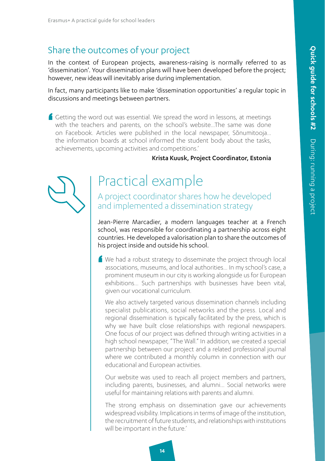# Share the outcomes of your project

In the context of European projects, awareness-raising is normally referred to as 'dissemination'. Your dissemination plans will have been developed before the project; however, new ideas will inevitably arise during implementation.

In fact, many participants like to make 'dissemination opportunities' a regular topic in discussions and meetings between partners.

'  $\blacksquare$  Getting the word out was essential. We spread the word in lessons, at meetings with the teachers and parents, on the school's website…The same was done on Facebook. Articles were published in the local newspaper, Sõnumitooja… the information boards at school informed the student body about the tasks, achievements, upcoming activities and competitions.'

#### Krista Kuusk, Project Coordinator, Estonia

# Practical example

A project coordinator shares how he developed and implemented a dissemination strategy

Jean-Pierre Marcadier, a modern languages teacher at a French school, was responsible for coordinating a partnership across eight countries. He developed a valorisation plan to share the outcomes of his project inside and outside his school.

' We had a robust strategy to disseminate the project through local associations, museums, and local authorities... In my school's case, a prominent museum in our city is working alongside us for European exhibitions… Such partnerships with businesses have been vital, given our vocational curriculum.

We also actively targeted various dissemination channels including specialist publications, social networks and the press. Local and regional dissemination is typically facilitated by the press, which is why we have built close relationships with regional newspapers. One focus of our project was defined through writing activities in a high school newspaper, "The Wall." In addition, we created a special partnership between our project and a related professional journal where we contributed a monthly column in connection with our educational and European activities.

Our website was used to reach all project members and partners, including parents, businesses, and alumni… Social networks were useful for maintaining relations with parents and alumni.

The strong emphasis on dissemination gave our achievements widespread visibility. Implications in terms of image of the institution, the recruitment of future students, and relationships with institutions will be important in the future.'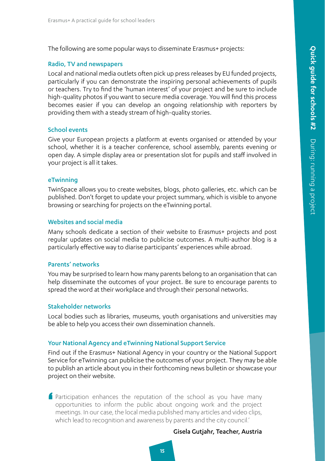The following are some popular ways to disseminate Erasmus+ projects:

#### Radio, TV and newspapers

Local and national media outlets often pick up press releases by EU funded projects, particularly if you can demonstrate the inspiring personal achievements of pupils or teachers. Try to find the 'human interest' of your project and be sure to include high-quality photos if you want to secure media coverage. You will find this process becomes easier if you can develop an ongoing relationship with reporters by providing them with a steady stream of high-quality stories.

#### School events

Give your European projects a platform at events organised or attended by your school, whether it is a teacher conference, school assembly, parents evening or open day. A simple display area or presentation slot for pupils and staff involved in your project is all it takes.

#### eTwinning

TwinSpace allows you to create websites, blogs, photo galleries, etc. which can be published. Don't forget to update your project summary, which is visible to anyone browsing or searching for projects on the eTwinning portal.

#### Websites and social media

Many schools dedicate a section of their website to Erasmus+ projects and post regular updates on social media to publicise outcomes. A multi-author blog is a particularly effective way to diarise participants' experiences while abroad.

#### Parents' networks

You may be surprised to learn how many parents belong to an organisation that can help disseminate the outcomes of your project. Be sure to encourage parents to spread the word at their workplace and through their personal networks.

#### Stakeholder networks

Local bodies such as libraries, museums, youth organisations and universities may be able to help you access their own dissemination channels.

#### Your National Agency and eTwinning National Support Service

Find out if the Erasmus+ National Agency in your country or the National Support Service for eTwinning can publicise the outcomes of your project. They may be able to publish an article about you in their forthcoming news bulletin or showcase your project on their website.

' Participation enhances the reputation of the school as you have many opportunities to inform the public about ongoing work and the project meetings. In our case, the local media published many articles and video clips, which lead to recognition and awareness by parents and the city council.'

#### Gisela Gutjahr, Teacher, Austria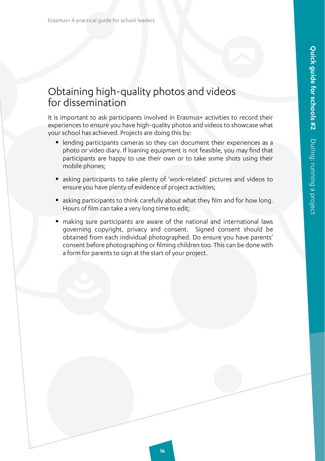# Obtaining high-quality photos and videos for dissemination

It is important to ask participants involved in Erasmus+ activities to record their experiences to ensure you have high-quality photos and videos to showcase what your school has achieved. Projects are doing this by:

- lending participants cameras so they can document their experiences as a photo or video diary. If loaning equipment is not feasible, you may find that participants are happy to use their own or to take some shots using their mobile phones;
- asking participants to take plenty of 'work-related' pictures and videos to ensure you have plenty of evidence of project activities;
- asking participants to think carefully about what they film and for how long. Hours of film can take a very long time to edit;
- making sure participants are aware of the national and international laws governing copyright, privacy and consent. Signed consent should be obtained from each individual photographed. Do ensure you have parents' consent before photographing or filming children too. This can be done with a form for parents to sign at the start of your project.